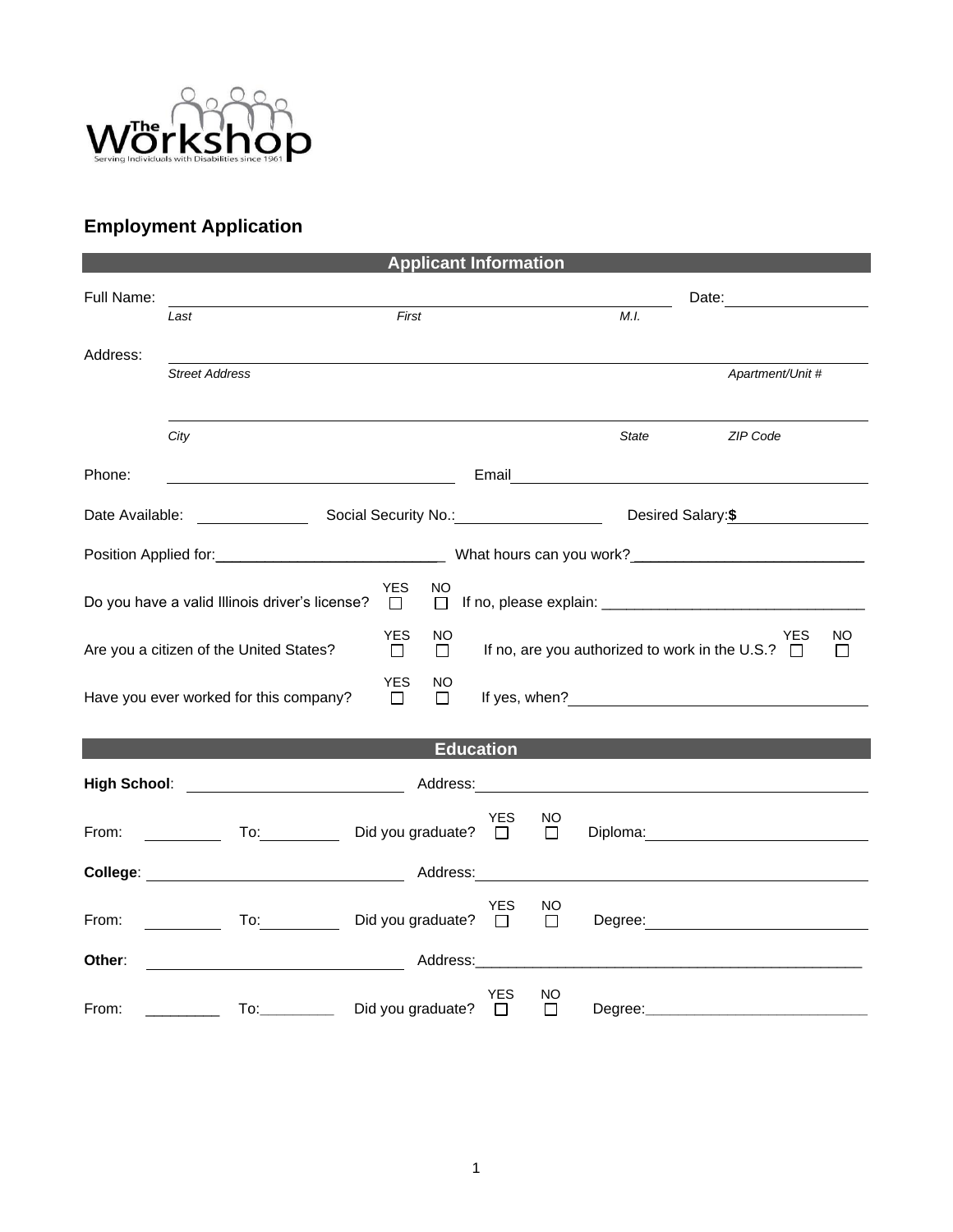

## **Employment Application**

| <b>Applicant Information</b>                                                                                                                                        |                                     |                             |            |               |       |                  |  |  |  |
|---------------------------------------------------------------------------------------------------------------------------------------------------------------------|-------------------------------------|-----------------------------|------------|---------------|-------|------------------|--|--|--|
| Full Name:                                                                                                                                                          |                                     |                             |            |               |       |                  |  |  |  |
|                                                                                                                                                                     | Last                                | First                       |            |               | M.I.  |                  |  |  |  |
| Address:                                                                                                                                                            | <b>Street Address</b>               |                             |            |               |       | Apartment/Unit # |  |  |  |
|                                                                                                                                                                     |                                     |                             |            |               |       |                  |  |  |  |
|                                                                                                                                                                     | City                                |                             |            |               | State | ZIP Code         |  |  |  |
| Phone:                                                                                                                                                              |                                     |                             |            |               |       |                  |  |  |  |
| Desired Salary: \$<br>Date Available: <u>[1994]</u>                                                                                                                 |                                     |                             |            |               |       |                  |  |  |  |
|                                                                                                                                                                     |                                     |                             |            |               |       |                  |  |  |  |
| YES<br>NO<br>Do you have a valid Illinois driver's license?<br>$\Box$<br>$\Box$                                                                                     |                                     |                             |            |               |       |                  |  |  |  |
| <b>YES</b><br>NO.<br><b>YES</b><br>NO.<br>If no, are you authorized to work in the U.S.? $\Box$<br>Are you a citizen of the United States?<br>$\Box$<br>$\Box$<br>П |                                     |                             |            |               |       |                  |  |  |  |
| <b>YES</b><br>NO<br>Have you ever worked for this company?<br>$\Box$<br>П                                                                                           |                                     |                             |            |               |       |                  |  |  |  |
|                                                                                                                                                                     |                                     |                             |            |               |       |                  |  |  |  |
| <b>Education</b>                                                                                                                                                    |                                     |                             |            |               |       |                  |  |  |  |
| From:                                                                                                                                                               | □ To: Did you graduate? □           |                             | <b>YES</b> | NO.<br>$\Box$ |       |                  |  |  |  |
|                                                                                                                                                                     |                                     |                             |            |               |       |                  |  |  |  |
| From:                                                                                                                                                               | $\overline{a}$ To: $\overline{a}$   | Did you graduate? $\square$ | <b>YES</b> | NO<br>$\Box$  |       |                  |  |  |  |
| Other:                                                                                                                                                              |                                     |                             |            |               |       |                  |  |  |  |
| From:                                                                                                                                                               | To: ___________ Did you graduate? □ |                             | <b>YES</b> | NO<br>$\Box$  |       |                  |  |  |  |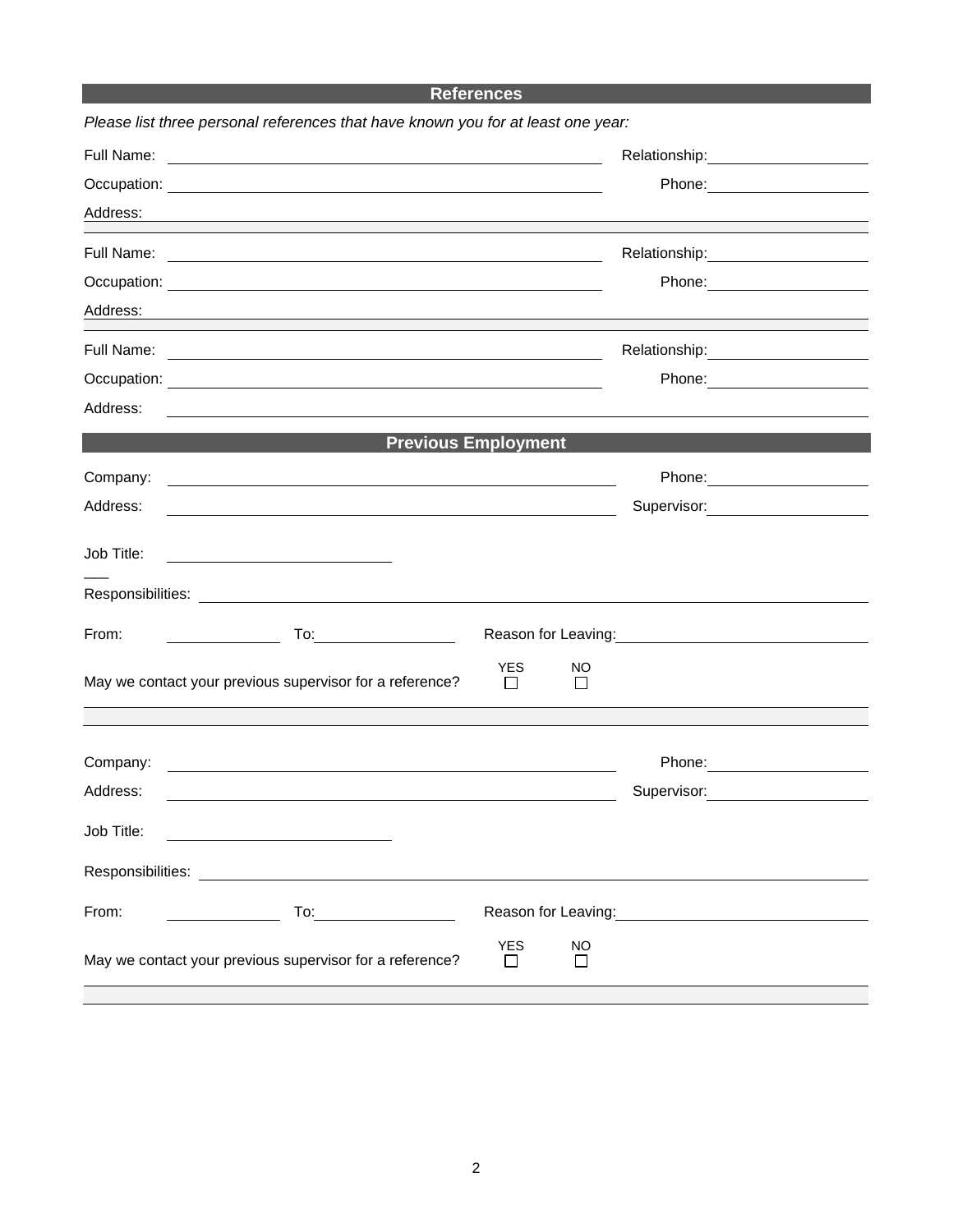## **References**

| Please list three personal references that have known you for at least one year:                                                   |                                                                                                                 |  |
|------------------------------------------------------------------------------------------------------------------------------------|-----------------------------------------------------------------------------------------------------------------|--|
| Full Name:<br><u> 1980 - Johann John Stone, markin fan it ferstjer fan it ferstjer fan it ferstjer fan it ferstjer fan it fers</u> |                                                                                                                 |  |
|                                                                                                                                    |                                                                                                                 |  |
| Address:<br>and the control of the control of the control of the control of the control of the control of the control of the       |                                                                                                                 |  |
| Full Name:<br><u> 1989 - Johann Stoff, amerikansk politiker (d. 1989)</u>                                                          | Relationship: 2000                                                                                              |  |
|                                                                                                                                    |                                                                                                                 |  |
| Address:                                                                                                                           |                                                                                                                 |  |
|                                                                                                                                    |                                                                                                                 |  |
|                                                                                                                                    |                                                                                                                 |  |
| Address:<br><u> 1989 - Johann Stoff, deutscher Stoffen und der Stoffen und der Stoffen und der Stoffen und der Stoffen und der</u> |                                                                                                                 |  |
|                                                                                                                                    | <b>Previous Employment</b>                                                                                      |  |
| Company:<br><u> 1989 - Johann Barn, mars ann an t-Amhainn an t-Amhainn an t-Amhainn an t-Amhainn an t-Amhainn an t-Amhainn an</u>  |                                                                                                                 |  |
| Address:<br><u> 1989 - Johann Barn, mars ann an t-Amhain ann an t-Amhain an t-Amhain an t-Amhain an t-Amhain an t-Amhain an t-</u> | Supervisor: 2000                                                                                                |  |
| Job Title:                                                                                                                         |                                                                                                                 |  |
|                                                                                                                                    |                                                                                                                 |  |
| From:<br>$\overline{\phantom{a}}$                                                                                                  | Reason for Leaving:<br><u> Reason</u> for Leaving:                                                              |  |
| May we contact your previous supervisor for a reference?                                                                           | <b>YES</b><br>NO<br>П<br>П                                                                                      |  |
|                                                                                                                                    |                                                                                                                 |  |
| Company:<br><u> 1980 - Johann Barn, mars ann an t-Amhain Aonaich an t-Aonaich an t-Aonaich an t-Aonaich an t-Aonaich an t-Aon</u>  |                                                                                                                 |  |
| Address:                                                                                                                           | Supervisor: Victor Control of The Control of The Control of The Control of The Control of The Control of The Co |  |
| Job Title:                                                                                                                         |                                                                                                                 |  |
| Responsibilities:                                                                                                                  |                                                                                                                 |  |
| From:                                                                                                                              | Reason for Leaving:<br><u> Reason</u> for Leaving:                                                              |  |
| May we contact your previous supervisor for a reference?                                                                           | <b>YES</b><br><b>NO</b><br>$\Box$<br>П                                                                          |  |
|                                                                                                                                    |                                                                                                                 |  |